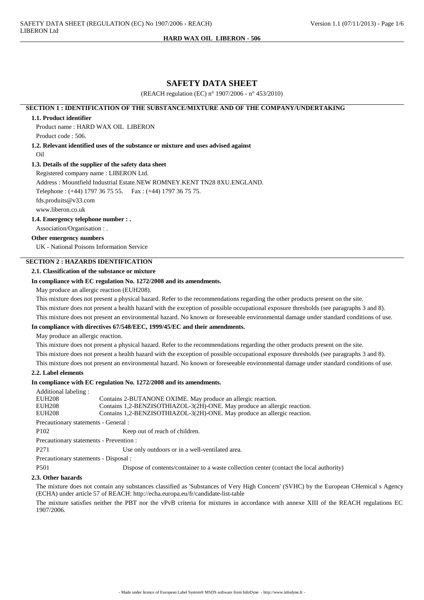### **HARD WAX OIL LIBERON - 506**

## **SAFETY DATA SHEET**

(REACH regulation (EC) n° 1907/2006 - n° 453/2010)

## **SECTION 1 : IDENTIFICATION OF THE SUBSTANCE/MIXTURE AND OF THE COMPANY/UNDERTAKING**

### **1.1. Product identifier**

Product name : HARD WAX OIL LIBERON Product code : 506.

**1.2. Relevant identified uses of the substance or mixture and uses advised against**

Oil

### **1.3. Details of the supplier of the safety data sheet**

Registered company name : LIBERON Ltd.

Address : Mountfield Industrial Estate.NEW ROMNEY.KENT TN28 8XU.ENGLAND.

Telephone : (+44) 1797 36 75 55. Fax : (+44) 1797 36 75 75.

fds.produits@v33.com

www.liberon.co.uk

**1.4. Emergency telephone number : .**

Association/Organisation : .

## **Other emergency numbers**

UK - National Poisons Information Service

## **SECTION 2 : HAZARDS IDENTIFICATION**

#### **2.1. Classification of the substance or mixture**

### **In compliance with EC regulation No. 1272/2008 and its amendments.**

May produce an allergic reaction (EUH208).

This mixture does not present a physical hazard. Refer to the recommendations regarding the other products present on the site.

This mixture does not present a health hazard with the exception of possible occupational exposure thresholds (see paragraphs 3 and 8).

This mixture does not present an environmental hazard. No known or foreseeable environmental damage under standard conditions of use.

## **In compliance with directives 67/548/EEC, 1999/45/EC and their amendments.**

May produce an allergic reaction.

This mixture does not present a physical hazard. Refer to the recommendations regarding the other products present on the site. This mixture does not present a health hazard with the exception of possible occupational exposure thresholds (see paragraphs 3 and 8).

This mixture does not present an environmental hazard. No known or foreseeable environmental damage under standard conditions of use.

## **2.2. Label elements**

### **In compliance with EC regulation No. 1272/2008 and its amendments.**

| Additional labeling:                       |                                                                          |  |  |  |
|--------------------------------------------|--------------------------------------------------------------------------|--|--|--|
| <b>EUH208</b>                              | Contains 2-BUTANONE OXIME. May produce an allergic reaction.             |  |  |  |
| <b>EUH208</b>                              | Contains 1,2-BENZISOTHIAZOL-3(2H)-ONE. May produce an allergic reaction. |  |  |  |
| <b>EUH208</b>                              | Contains 1,2-BENZISOTHIAZOL-3(2H)-ONE. May produce an allergic reaction. |  |  |  |
| Precautionary statements - General :       |                                                                          |  |  |  |
| P <sub>102</sub>                           | Keep out of reach of children.                                           |  |  |  |
| Precautionary statements - Prevention :    |                                                                          |  |  |  |
| P <sub>271</sub>                           | Use only outdoors or in a well-ventilated area.                          |  |  |  |
| $Precautionary statement$ Disposal $\cdot$ |                                                                          |  |  |  |

Precautionary statements - Disposal :

P501 Dispose of contents/container to a waste collection center (contact the local authority)

#### **2.3. Other hazards**

The mixture does not contain any substances classified as 'Substances of Very High Concern' (SVHC) by the European CHemical s Agency (ECHA) under article 57 of REACH: http://echa.europa.eu/fr/candidate-list-table

The mixture satisfies neither the PBT nor the vPvB criteria for mixtures in accordance with annexe XIII of the REACH regulations EC 1907/2006.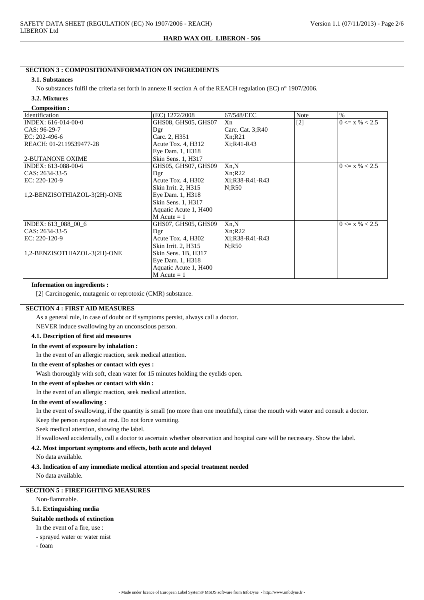#### **HARD WAX OIL LIBERON - 506**

## **SECTION 3 : COMPOSITION/INFORMATION ON INGREDIENTS**

#### **3.1. Substances**

No substances fulfil the criteria set forth in annexe II section A of the REACH regulation (EC) n° 1907/2006.

#### **3.2. Mixtures Composition :**

| Composition .                |                       |                  |             |                    |
|------------------------------|-----------------------|------------------|-------------|--------------------|
| Identification               | (EC) 1272/2008        | 67/548/EEC       | <b>Note</b> | $\%$               |
| INDEX: 616-014-00-0          | GHS08, GHS05, GHS07   | Xn               | $[2]$       | $0 \le x \% < 2.5$ |
| $CAS: 96-29-7$               | Dgr                   | Carc. Cat. 3;R40 |             |                    |
| EC: $202-496-6$              | Carc. 2, H351         | Xn; R21          |             |                    |
| REACH: 01-2119539477-28      | Acute Tox. 4, H312    | Xi:R41-R43       |             |                    |
|                              | Eye Dam. 1, H318      |                  |             |                    |
| 2-BUTANONE OXIME             | Skin Sens. 1, H317    |                  |             |                    |
| INDEX: 613-088-00-6          | GHS05, GHS07, GHS09   | Xn,N             |             | $0 \le x \% < 2.5$ |
| CAS: 2634-33-5               | Dgr                   | Xn; R22          |             |                    |
| $EC: 220-120-9$              | Acute Tox. 4, H302    | Xi;R38-R41-R43   |             |                    |
|                              | Skin Irrit. 2, H315   | N:R50            |             |                    |
| 1,2-BENZISOTHIAZOL-3(2H)-ONE | Eye Dam. 1, H318      |                  |             |                    |
|                              | Skin Sens. 1, H317    |                  |             |                    |
|                              | Aquatic Acute 1, H400 |                  |             |                    |
|                              | $M$ Acute = 1         |                  |             |                    |
| INDEX: 613_088_00_6          | GHS07, GHS05, GHS09   | Xn.N             |             | $0 \le x \% < 2.5$ |
| CAS: 2634-33-5               | Dgr                   | Xn:R22           |             |                    |
| $EC: 220-120-9$              | Acute Tox. 4, H302    | Xi:R38-R41-R43   |             |                    |
|                              | Skin Irrit. 2, H315   | N:R50            |             |                    |
| 1,2-BENZISOTHIAZOL-3(2H)-ONE | Skin Sens. 1B, H317   |                  |             |                    |
|                              | Eye Dam. 1, H318      |                  |             |                    |
|                              | Aquatic Acute 1, H400 |                  |             |                    |
|                              | $M$ Acute = 1         |                  |             |                    |

## **Information on ingredients :**

[2] Carcinogenic, mutagenic or reprotoxic (CMR) substance.

## **SECTION 4 : FIRST AID MEASURES**

As a general rule, in case of doubt or if symptoms persist, always call a doctor.

NEVER induce swallowing by an unconscious person.

## **4.1. Description of first aid measures**

#### **In the event of exposure by inhalation :**

In the event of an allergic reaction, seek medical attention.

#### **In the event of splashes or contact with eyes :**

Wash thoroughly with soft, clean water for 15 minutes holding the eyelids open.

### **In the event of splashes or contact with skin :**

In the event of an allergic reaction, seek medical attention.

### **In the event of swallowing :**

In the event of swallowing, if the quantity is small (no more than one mouthful), rinse the mouth with water and consult a doctor. Keep the person exposed at rest. Do not force vomiting.

Seek medical attention, showing the label.

If swallowed accidentally, call a doctor to ascertain whether observation and hospital care will be necessary. Show the label.

## **4.2. Most important symptoms and effects, both acute and delayed**

No data available.

#### **4.3. Indication of any immediate medical attention and special treatment needed**

No data available.

## **SECTION 5 : FIREFIGHTING MEASURES**

Non-flammable.

### **5.1. Extinguishing media**

## **Suitable methods of extinction**

In the event of a fire, use :

### - sprayed water or water mist

- foam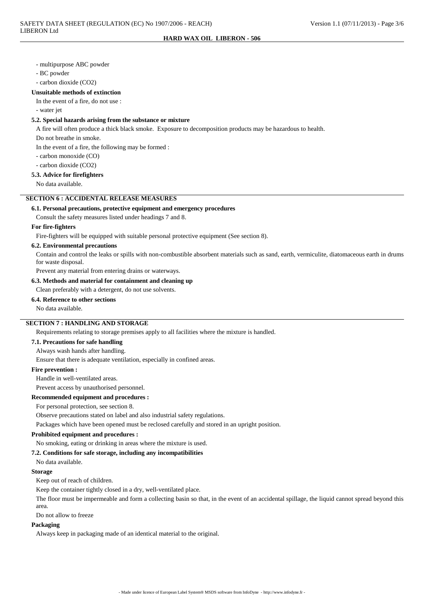#### - multipurpose ABC powder

- BC powder

- carbon dioxide (CO2)

#### **Unsuitable methods of extinction**

In the event of a fire, do not use :

- water jet

## **5.2. Special hazards arising from the substance or mixture**

A fire will often produce a thick black smoke. Exposure to decomposition products may be hazardous to health.

Do not breathe in smoke.

In the event of a fire, the following may be formed :

- carbon monoxide (CO)

- carbon dioxide (CO2)

## **5.3. Advice for firefighters**

No data available.

## **SECTION 6 : ACCIDENTAL RELEASE MEASURES**

#### **6.1. Personal precautions, protective equipment and emergency procedures**

Consult the safety measures listed under headings 7 and 8.

#### **For fire-fighters**

Fire-fighters will be equipped with suitable personal protective equipment (See section 8).

## **6.2. Environmental precautions**

Contain and control the leaks or spills with non-combustible absorbent materials such as sand, earth, vermiculite, diatomaceous earth in drums for waste disposal.

Prevent any material from entering drains or waterways.

#### **6.3. Methods and material for containment and cleaning up**

Clean preferably with a detergent, do not use solvents.

**6.4. Reference to other sections**

No data available.

## **SECTION 7 : HANDLING AND STORAGE**

Requirements relating to storage premises apply to all facilities where the mixture is handled.

## **7.1. Precautions for safe handling**

Always wash hands after handling.

Ensure that there is adequate ventilation, especially in confined areas.

### **Fire prevention :**

Handle in well-ventilated areas.

Prevent access by unauthorised personnel.

### **Recommended equipment and procedures :**

For personal protection, see section 8.

Observe precautions stated on label and also industrial safety regulations.

Packages which have been opened must be reclosed carefully and stored in an upright position.

#### **Prohibited equipment and procedures :**

No smoking, eating or drinking in areas where the mixture is used.

#### **7.2. Conditions for safe storage, including any incompatibilities**

No data available.

## **Storage**

Keep out of reach of children.

Keep the container tightly closed in a dry, well-ventilated place.

The floor must be impermeable and form a collecting basin so that, in the event of an accidental spillage, the liquid cannot spread beyond this area.

Do not allow to freeze

### **Packaging**

Always keep in packaging made of an identical material to the original.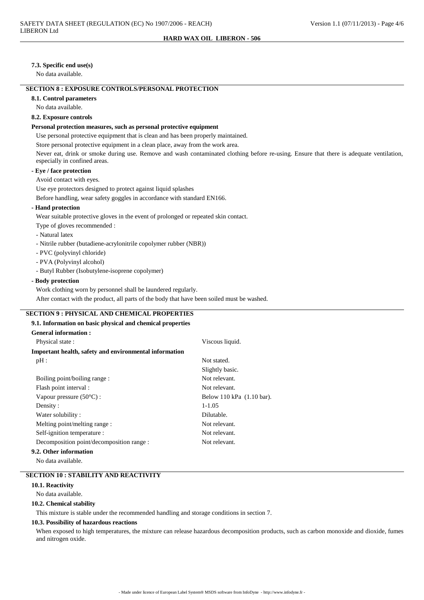### **7.3. Specific end use(s)**

No data available.

## **SECTION 8 : EXPOSURE CONTROLS/PERSONAL PROTECTION**

**8.1. Control parameters**

No data available.

### **8.2. Exposure controls**

#### **Personal protection measures, such as personal protective equipment**

Use personal protective equipment that is clean and has been properly maintained.

Store personal protective equipment in a clean place, away from the work area.

Never eat, drink or smoke during use. Remove and wash contaminated clothing before re-using. Ensure that there is adequate ventilation, especially in confined areas.

### **- Eye / face protection**

Avoid contact with eyes.

Use eye protectors designed to protect against liquid splashes

Before handling, wear safety goggles in accordance with standard EN166.

### **- Hand protection**

Wear suitable protective gloves in the event of prolonged or repeated skin contact.

- Type of gloves recommended :
- Natural latex
- Nitrile rubber (butadiene-acrylonitrile copolymer rubber (NBR))
- PVC (polyvinyl chloride)
- PVA (Polyvinyl alcohol)
- Butyl Rubber (Isobutylene-isoprene copolymer)

#### **- Body protection**

Work clothing worn by personnel shall be laundered regularly.

After contact with the product, all parts of the body that have been soiled must be washed.

### **SECTION 9 : PHYSICAL AND CHEMICAL PROPERTIES**

## **9.1. Information on basic physical and chemical properties**

| <b>General information:</b>                            |                           |
|--------------------------------------------------------|---------------------------|
| Physical state:                                        | Viscous liquid.           |
| Important health, safety and environmental information |                           |
| $pH$ :                                                 | Not stated.               |
|                                                        | Slightly basic.           |
| Boiling point/boiling range:                           | Not relevant.             |
| Flash point interval :                                 | Not relevant.             |
| Vapour pressure $(50^{\circ}C)$ :                      | Below 110 kPa (1.10 bar). |
| Density:                                               | $1 - 1.05$                |
| Water solubility:                                      | Dilutable.                |
| Melting point/melting range :                          | Not relevant.             |
| Self-ignition temperature :                            | Not relevant.             |
| Decomposition point/decomposition range :              | Not relevant.             |
| 9.2. Other information                                 |                           |

#### No data available.

## **SECTION 10 : STABILITY AND REACTIVITY**

## **10.1. Reactivity**

No data available.

#### **10.2. Chemical stability**

This mixture is stable under the recommended handling and storage conditions in section 7.

## **10.3. Possibility of hazardous reactions**

When exposed to high temperatures, the mixture can release hazardous decomposition products, such as carbon monoxide and dioxide, fumes and nitrogen oxide.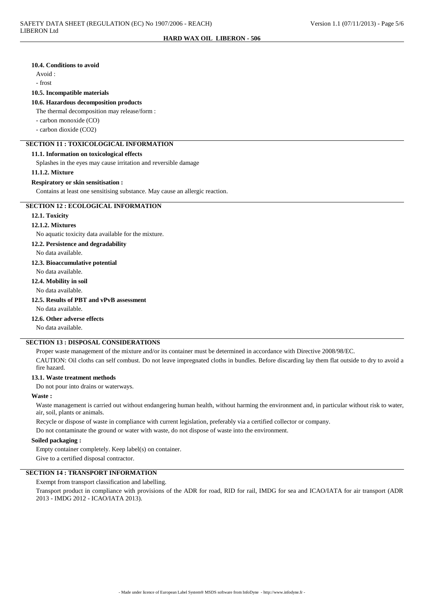#### **10.4. Conditions to avoid**

Avoid :

- frost

### **10.5. Incompatible materials**

### **10.6. Hazardous decomposition products**

The thermal decomposition may release/form :

- carbon monoxide (CO)

- carbon dioxide (CO2)

## **SECTION 11 : TOXICOLOGICAL INFORMATION**

## **11.1. Information on toxicological effects**

Splashes in the eyes may cause irritation and reversible damage

#### **11.1.2. Mixture**

#### **Respiratory or skin sensitisation :**

Contains at least one sensitising substance. May cause an allergic reaction.

## **SECTION 12 : ECOLOGICAL INFORMATION**

## **12.1. Toxicity**

#### **12.1.2. Mixtures**

No aquatic toxicity data available for the mixture.

#### **12.2. Persistence and degradability**

No data available.

## **12.3. Bioaccumulative potential**

No data available.

#### **12.4. Mobility in soil**

No data available.

## **12.5. Results of PBT and vPvB assessment**

No data available.

## **12.6. Other adverse effects**

No data available.

## **SECTION 13 : DISPOSAL CONSIDERATIONS**

Proper waste management of the mixture and/or its container must be determined in accordance with Directive 2008/98/EC. CAUTION: Oil cloths can self combust. Do not leave impregnated cloths in bundles. Before discarding lay them flat outside to dry to avoid a fire hazard.

## **13.1. Waste treatment methods**

Do not pour into drains or waterways.

## **Waste :**

Waste management is carried out without endangering human health, without harming the environment and, in particular without risk to water, air, soil, plants or animals.

Recycle or dispose of waste in compliance with current legislation, preferably via a certified collector or company.

Do not contaminate the ground or water with waste, do not dispose of waste into the environment.

## **Soiled packaging :**

Empty container completely. Keep label(s) on container.

Give to a certified disposal contractor.

# **SECTION 14 : TRANSPORT INFORMATION**

Exempt from transport classification and labelling.

Transport product in compliance with provisions of the ADR for road, RID for rail, IMDG for sea and ICAO/IATA for air transport (ADR 2013 - IMDG 2012 - ICAO/IATA 2013).